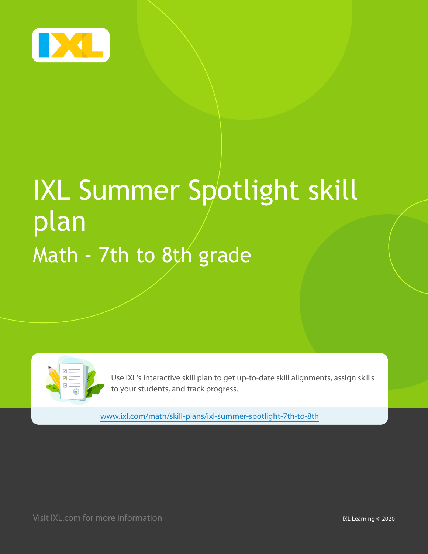

# IXL Summer Spotlight skill plan Math - 7th to 8th grade

Use IXL's interactive skill plan to get up-to-date skill alignments, assign skills to your students, and track progress.

[www.ixl.com/math/skill-plans/ixl-summer-spotlight-7th-to-8th](http://www.ixl.com/math/skill-plans/ixl-summer-spotlight-7th-to-8th)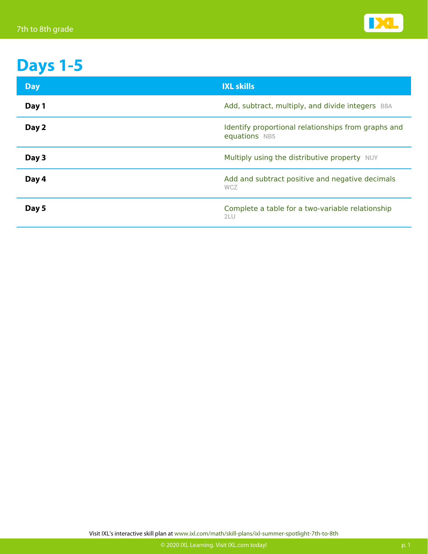

## **Days 1-5**

| <b>Day</b> | <b>IXL skills</b>                                                    |
|------------|----------------------------------------------------------------------|
| Day 1      | Add, subtract, multiply, and divide integers B8A                     |
| Day 2      | Identify proportional relationships from graphs and<br>equations NB5 |
| Day 3      | Multiply using the distributive property NUY                         |
| Day 4      | Add and subtract positive and negative decimals<br><b>WCZ</b>        |
| Day 5      | Complete a table for a two-variable relationship<br>2LU              |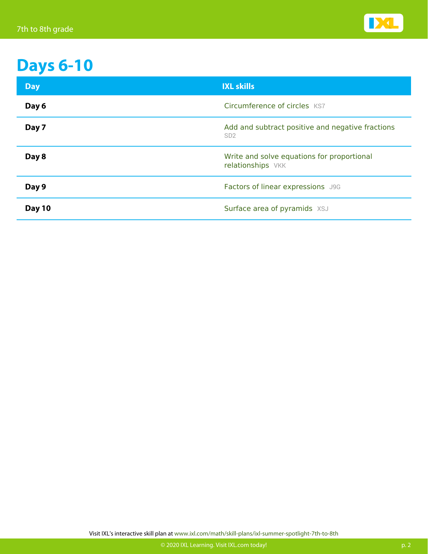

### **Days 6-10**

| <b>Day</b> | <b>IXL skills</b>                                                   |
|------------|---------------------------------------------------------------------|
| Day 6      | Circumference of circles KS7                                        |
| Day 7      | Add and subtract positive and negative fractions<br>SD <sub>2</sub> |
| Day 8      | Write and solve equations for proportional<br>relationships VKK     |
| Day 9      | Factors of linear expressions J9G                                   |
| Day 10     | Surface area of pyramids XSJ                                        |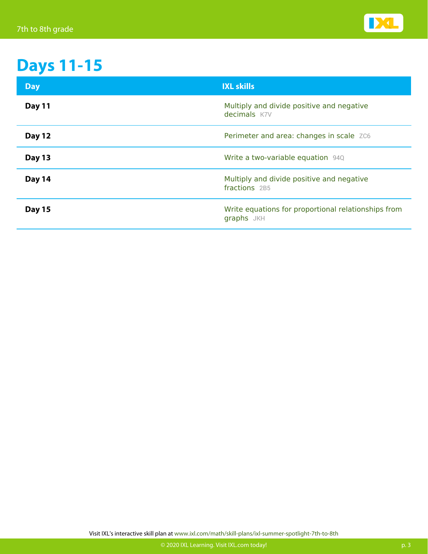

## **Days 11-15**

| <b>Day</b>    | <b>IXL skills</b>                                                 |
|---------------|-------------------------------------------------------------------|
| Day 11        | Multiply and divide positive and negative<br>decimals K7V         |
| <b>Day 12</b> | Perimeter and area: changes in scale ZC6                          |
| Day 13        | Write a two-variable equation 940                                 |
| Day 14        | Multiply and divide positive and negative<br>fractions 2B5        |
| <b>Day 15</b> | Write equations for proportional relationships from<br>graphs JKH |